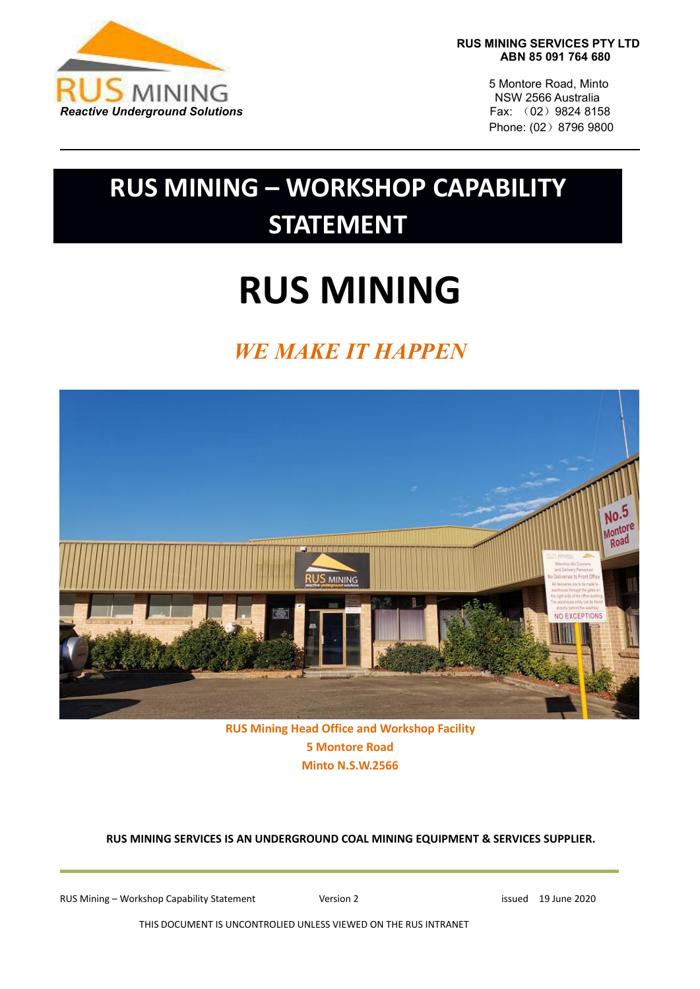

**RUS MINING SERVICES PTY LTD ABN 85 091 764 680**

> 5 Montore Road, Minto NSW 2566 Australia Phone: (02) 8796 9800

## **RUS MINING – WORKSHOP CAPABILITY STATEMENT**

# **RUS MINING**

### *WE MAKE IT HAPPEN*



**RUS Mining Head Office and Workshop Facility 5 Montore Road Minto N.S.W.2566**

**RUS MINING SERVICES IS AN UNDERGROUND COAL MINING EQUIPMENT & SERVICES SUPPLIER.**

RUS Mining – Workshop Capability Statement Version 2 version 2 issued 19 June 2020

THIS DOCUMENT IS UNCONTROLIED UNLESS VIEWED ON THE RUS INTRANET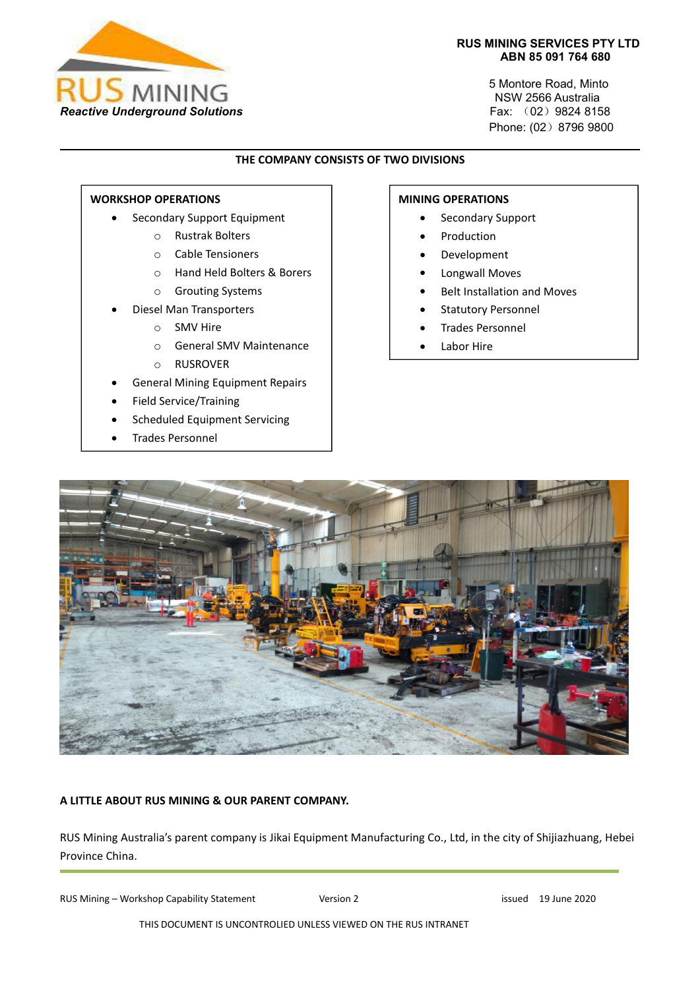

#### **RUS MINING SERVICES PTY LTD ABN 85 091 764 680**

5 Montore Road, Minto NSW 2566 Australia Phone: (02) 8796 9800

#### **THE COMPANY CONSISTS OF TWO DIVISIONS**

#### **WORKSHOP OPERATIONS**

- Secondary Support Equipment
	- o Rustrak Bolters
	- o Cable Tensioners
	- o Hand Held Bolters & Borers
	- o Grouting Systems
- Diesel Man Transporters
	- o SMV Hire
	- o General SMV Maintenance
	- o RUSROVER
- General Mining Equipment Repairs
- Field Service/Training
- Scheduled Equipment Servicing
- Trades Personnel

#### **MINING OPERATIONS**

- Secondary Support
- Production
- Development
- Longwall Moves
- Belt Installation and Moves
- Statutory Personnel
- **•** Trades Personnel
- Labor Hire



#### **A LITTLE ABOUT RUS MINING & OUR PARENT COMPANY.**

RUS Mining Australia's parent company is Jikai Equipment Manufacturing Co., Ltd, in the city of Shijiazhuang, Hebei Province China.

RUS Mining – Workshop Capability Statement Version 2 version 2 issued 19 June 2020

THIS DOCUMENT IS UNCONTROLIED UNLESS VIEWED ON THE RUS INTRANET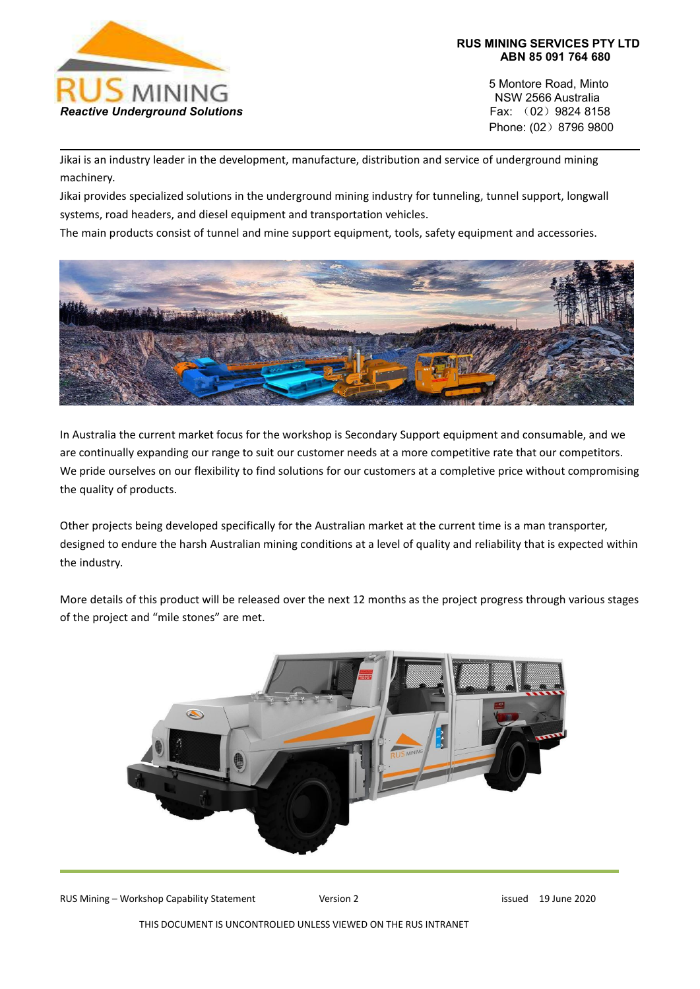

5 Montore Road, Minto NSW 2566 Australia Phone: (02) 8796 9800

Jikai is an industry leader in the development, manufacture, distribution and service of underground mining machinery.

Jikai provides specialized solutions in the underground mining industry for tunneling, tunnel support, longwall systems, road headers, and diesel equipment and transportation vehicles.

The main products consist of tunnel and mine support equipment, tools, safety equipment and accessories.



In Australia the current market focus for the workshop is Secondary Support equipment and consumable, and we are continually expanding our range to suit our customer needs ata more competitive rate that our competitors. We pride ourselves on our flexibility to find solutions for our customers at a completive price without compromising the quality of products.

Other projects being developed specifically for the Australian market at the current time is a man transporter, designed to endure the harsh Australian mining conditions at a level of quality and reliability that is expected within the industry.

More details of this product will be released over the next 12 months as the project progress through various stages of the project and "mile stones" are met.



RUS Mining – Workshop Capability Statement Version 2 version 2 issued 19 June 2020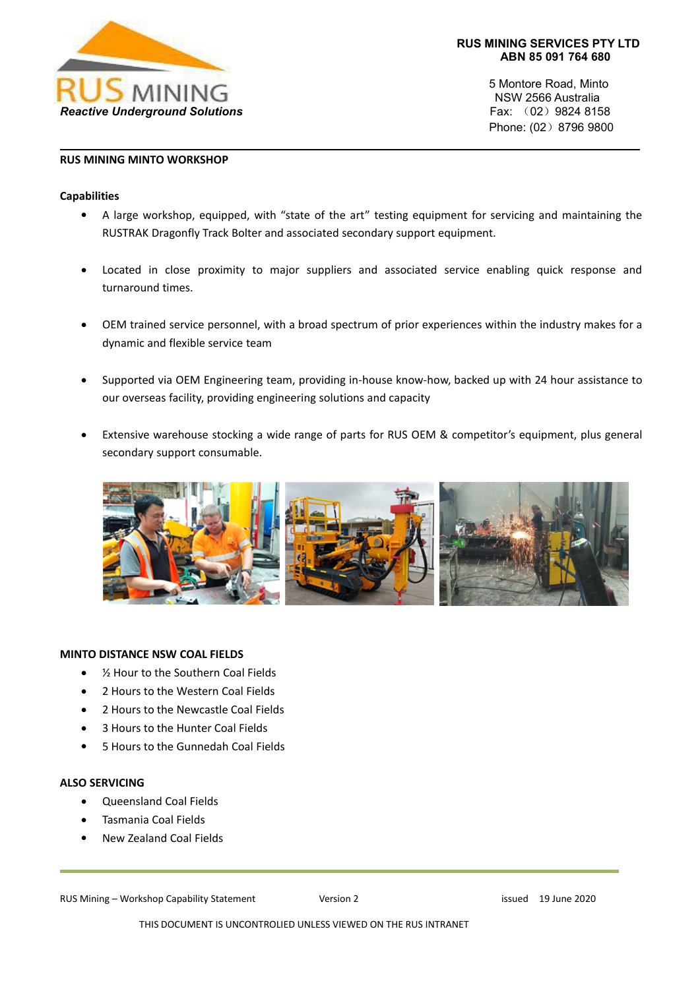

5 Montore Road, Minto NSW 2566 Australia Phone: (02) 8796 9800

#### **RUS MINING MINTO WORKSHOP**

#### **Capabilities**

- A large workshop, equipped, with "state of the art" testing equipment for servicing and maintaining the RUSTRAK Dragonfly Track Bolter and associated secondary support equipment.
- Located in close proximity to major suppliers and associated service enabling quick response and turnaround times.
- OEM trained service personnel, with a broad spectrum of prior experiences within the industry makes for a dynamic and flexible service team
- Supported via OEM Engineering team, providing in-house know-how, backed up with 24 hour assistance to our overseas facility, providing engineering solutions and capacity
- Extensive warehouse stocking a wide range of parts for RUS OEM & competitor's equipment, plus general secondary support consumable.



#### **MINTO DISTANCE NSW COAL FIELDS**

- ½ Hour to the Southern Coal Fields
- 2 Hours to the Western Coal Fields
- 2 Hours to the Newcastle Coal Fields
- 3 Hours to the Hunter Coal Fields
- 5 Hours to the Gunnedah Coal Fields

#### **ALSO SERVICING**

- Queensland Coal Fields
- Tasmania Coal Fields
- New Zealand Coal Fields

#### RUS Mining – Workshop Capability Statement Version 2 version 2 issued 19 June 2020